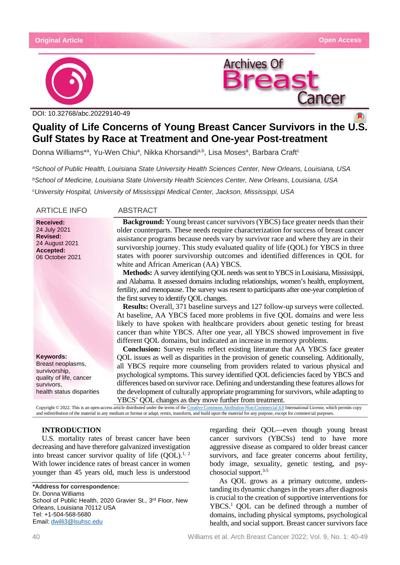



DOI: [10.32768/abc.2022914](http://dx.doi.org/10.32768/abc.202184267-276)0-49

# **Quality of Life Concerns of Young Breast Cancer Survivors in the U.S. Gulf States by Race at Treatment and One-year Post-treatment**

Donna Williams\*ª, Yu-Wen Chiuª, Nikka Khorsandi<sup>a,b</sup>, Lisa Mosesª, Barbara Craft<sup>c</sup>

*aSchool of Public Health, Louisiana State University Health Sciences Center, New Orleans, Louisiana, USA bSchool of Medicine, Louisiana State University Health Sciences Center, New Orleans, Louisiana, USA cUniversity Hospital, University of Mississippi Medical Center, Jackson, Mississippi, USA*

ARTICLE INFO ABSTRACT

#### **Received:** 24 July 2021 **Revised:** 24 August 2021 **Accepted:** 06 October 2021

**Keywords:** Breast neoplasms, survivorship, quality of life, cancer survivors, health status disparities

**Background:** Young breast cancer survivors (YBCS) face greater needs than their older counterparts. These needs require characterization for success of breast cancer assistance programs because needs vary by survivor race and where they are in their survivorship journey. This study evaluated quality of life (QOL) for YBCS in three states with poorer survivorship outcomes and identified differences in QOL for white and African American (AA) YBCS.

**Methods:** A survey identifying QOL needs was sent to YBCS in Louisiana, Mississippi, and Alabama. It assessed domains including relationships, women's health, employment, fertility, and menopause. The survey was resent to participants after one-year completion of the first survey to identify QOL changes.

**Results:** Overall, 371 baseline surveys and 127 follow-up surveys were collected. At baseline, AA YBCS faced more problems in five QOL domains and were less likely to have spoken with healthcare providers about genetic testing for breast cancer than white YBCS. After one year, all YBCS showed improvement in five different QOL domains, but indicated an increase in memory problems.

**Conclusion:** Survey results reflect existing literature that AA YBCS face greater QOL issues as well as disparities in the provision of genetic counseling. Additionally, all YBCS require more counseling from providers related to various physical and psychological symptoms. This survey identified QOL deficiencies faced by YBCS and differences based on survivor race. Defining and understanding these features allows for the development of culturally appropriate programming for survivors, while adapting to YBCS' QOL changes as they move further from treatment.

Copyright © 2022. This is an open-access article distributed under the terms of th[e Creative Commons Attribution-Non-Commercial 4.0](https://creativecommons.org/licenses/by-nc/4.0/) International License, which permits copy and redistribution of the material in any medium or format or adapt, remix, transform, and build upon the material for any purpose, except for commercial purposes.

# **INTRODUCTION**

U.S. mortality rates of breast cancer have been decreasing and have therefore galvanized investigation into breast cancer survivor quality of life  $(QOL)^{1, 2}$ . With lower incidence rates of breast cancer in women younger than 45 years old, much less is understood

**\*Address for correspondence:** Dr. Donna Williams School of Public Health, 2020 Gravier St., 3rd Floor, New Orleans, Louisiana 70112 USA Tel: +1-504-568-5680 Email: [dwilli3@lsuhsc.edu](mailto:dwilli3@lsuhsc.edu)

regarding their QOL—even though young breast cancer survivors (YBCSs) tend to have more aggressive disease as compared to older breast cancer survivors, and face greater concerns about fertility, body image, sexuality, genetic testing, and psychosocial support.3-5

As QOL grows as a primary outcome, understanding its dynamic changes in the years after diagnosis is crucial to the creation of supportive interventions for YBCS.<sup>1</sup> QOL can be defined through a number of domains, including physical symptoms, psychological health, and social support. Breast cancer survivors face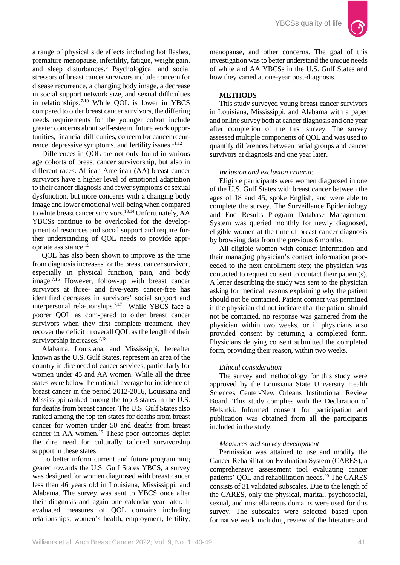

a range of physical side effects including hot flashes, premature menopause, infertility, fatigue, weight gain, and sleep disturbances.6 Psychological and social stressors of breast cancer survivors include concern for disease recurrence, a changing body image, a decrease in social support network size, and sexual difficulties in relationships.<sup>7-10</sup> While QOL is lower in YBCS compared to older breast cancer survivors, the differing needs requirements for the younger cohort include greater concerns about self-esteem, future work opportunities, financial difficulties, concern for cancer recurrence, depressive symptoms, and fertility issues. $11,12$ 

Differences in QOL are not only found in various age cohorts of breast cancer survivorship, but also in different races. African American (AA) breast cancer survivors have a higher level of emotional adaptation to their cancer diagnosis and fewer symptoms of sexual dysfunction, but more concerns with a changing body image and lower emotional well-being when compared to white breast cancer survivors.13,14 Unfortunately, AA YBCSs continue to be overlooked for the developpment of resources and social support and require further understanding of QOL needs to provide appropriate assistance.15

QOL has also been shown to improve as the time from diagnosis increases for the breast cancer survivor, especially in physical function, pain, and body image.7,16 However, follow-up with breast cancer survivors at three- and five-years cancer-free has identified decreases in survivors' social support and interpersonal rela-tionships.7,17 While YBCS face a poorer QOL as com-pared to older breast cancer survivors when they first complete treatment, they recover the deficit in overall QOL as the length of their survivorship increases.<sup>7,18</sup>

Alabama, Louisiana, and Mississippi, hereafter known as the U.S. Gulf States, represent an area of the country in dire need of cancer services, particularly for women under 45 and AA women. While all the three states were below the national average for incidence of breast cancer in the period 2012-2016, Louisiana and Mississippi ranked among the top 3 states in the U.S. for deaths from breast cancer. The U.S. Gulf States also ranked among the top ten states for deaths from breast cancer for women under 50 and deaths from breast cancer in AA women.19 These poor outcomes depict the dire need for culturally tailored survivorship support in these states.

To better inform current and future programming geared towards the U.S. Gulf States YBCS, a survey was designed for women diagnosed with breast cancer less than 46 years old in Louisiana, Mississippi, and Alabama. The survey was sent to YBCS once after their diagnosis and again one calendar year later. It evaluated measures of QOL domains including relationships, women's health, employment, fertility,

menopause, and other concerns. The goal of this investigation was to better understand the unique needs of white and AA YBCSs in the U.S. Gulf States and how they varied at one-year post-diagnosis.

# **METHODS**

This study surveyed young breast cancer survivors in Louisiana, Mississippi, and Alabama with a paper and online survey both at cancer diagnosis and one year after completion of the first survey. The survey assessed multiple components of QOL and was used to quantify differences between racial groups and cancer survivors at diagnosis and one year later.

### *Inclusion and exclusion criteria:*

Eligible participants were women diagnosed in one of the U.S. Gulf States with breast cancer between the ages of 18 and 45, spoke English, and were able to complete the survey. The Surveillance Epidemiology and End Results Program Database Management System was queried monthly for newly diagnosed, eligible women at the time of breast cancer diagnosis by browsing data from the previous 6 months.

All eligible women with contact information and their managing physician's contact information proceeded to the next enrollment step; the physician was contacted to request consent to contact their patient(s). A letter describing the study was sent to the physician asking for medical reasons explaining why the patient should not be contacted. Patient contact was permitted if the physician did not indicate that the patient should not be contacted, no response was garnered from the physician within two weeks, or if physicians also provided consent by returning a completed form. Physicians denying consent submitted the completed form, providing their reason, within two weeks.

### *Ethical consideration*

The survey and methodology for this study were approved by the Louisiana State University Health Sciences Center-New Orleans Institutional Review Board. This study complies with the Declaration of Helsinki. Informed consent for participation and publication was obtained from all the participants included in the study.

# *Measures and survey development*

Permission was attained to use and modify the Cancer Rehabilitation Evaluation System (CARES), a comprehensive assessment tool evaluating cancer patients' QOL and rehabilitation needs.<sup>20</sup> The CARES consists of 31 validated subscales. Due to the length of the CARES, only the physical, marital, psychosocial, sexual, and miscellaneous domains were used for this survey. The subscales were selected based upon formative work including review of the literature and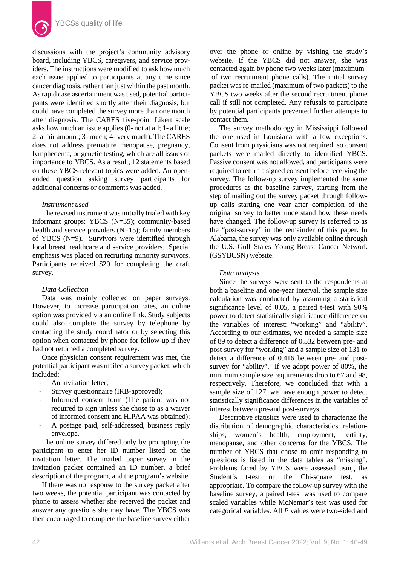

discussions with the project's community advisory board, including YBCS, caregivers, and service providers. The instructions were modified to ask how much each issue applied to participants at any time since cancer diagnosis, rather than just within the past month. As rapid case ascertainment was used, potential participants were identified shortly after their diagnosis, but could have completed the survey more than one month after diagnosis. The CARES five-point Likert scale asks how much an issue applies (0- not at all; 1- a little; 2- a fair amount; 3- much; 4- very much). The CARES does not address premature menopause, pregnancy, lymphedema, or genetic testing, which are all issues of importance to YBCS. As a result, 12 statements based on these YBCS-relevant topics were added. An openended question asking survey participants for additional concerns or comments was added.

#### *Instrument used*

The revised instrument was initially trialed with key informant groups: YBCS (N=35); community-based health and service providers (N=15); family members of YBCS (N=9). Survivors were identified through local breast healthcare and service providers. Special emphasis was placed on recruiting minority survivors. Participants received \$20 for completing the draft survey.

#### *Data Collection*

Data was mainly collected on paper surveys. However, to increase participation rates, an online option was provided via an online link. Study subjects could also complete the survey by telephone by contacting the study coordinator or by selecting this option when contacted by phone for follow-up if they had not returned a completed survey.

Once physician consent requirement was met, the potential participant was mailed a survey packet, which included:

- An invitation letter;
- Survey questionnaire (IRB-approved);
- Informed consent form (The patient was not required to sign unless she chose to as a waiver of informed consent and HIPAA was obtained);
- A postage paid, self-addressed, business reply envelope.

The online survey differed only by prompting the participant to enter her ID number listed on the invitation letter. The mailed paper survey in the invitation packet contained an ID number, a brief description of the program, and the program's website.

If there was no response to the survey packet after two weeks, the potential participant was contacted by phone to assess whether she received the packet and answer any questions she may have. The YBCS was then encouraged to complete the baseline survey either over the phone or online by visiting the study's website. If the YBCS did not answer, she was contacted again by phone two weeks later (maximum of two recruitment phone calls). The initial survey packet was re-mailed (maximum of two packets) to the YBCS two weeks after the second recruitment phone call if still not completed. Any refusals to participate by potential participants prevented further attempts to contact them.

The survey methodology in Mississippi followed the one used in Louisiana with a few exceptions. Consent from physicians was not required, so consent packets were mailed directly to identified YBCS. Passive consent was not allowed, and participants were required to return a signed consent before receiving the survey. The follow-up survey implemented the same procedures as the baseline survey, starting from the step of mailing out the survey packet through followup calls starting one year after completion of the original survey to better understand how these needs have changed. The follow-up survey is referred to as the "post-survey" in the remainder of this paper. In Alabama, the survey was only available online through the U.S. Gulf States Young Breast Cancer Network (GSYBCSN) website.

#### *Data analysis*

Since the surveys were sent to the respondents at both a baseline and one-year interval, the sample size calculation was conducted by assuming a statistical significance level of 0.05, a paired t-test with 90% power to detect statistically significance difference on the variables of interest: "working" and "ability". According to our estimates, we needed a sample size of 89 to detect a difference of 0.532 between pre- and post-survey for "working" and a sample size of 131 to detect a difference of 0.416 between pre- and postsurvey for "ability". If we adopt power of 80%, the minimum sample size requirements drop to 67 and 98, respectively. Therefore, we concluded that with a sample size of 127, we have enough power to detect statistically significance differences in the variables of interest between pre-and post-surveys.

Descriptive statistics were used to characterize the distribution of demographic characteristics, relationships, women's health, employment, fertility, menopause, and other concerns for the YBCS. The number of YBCS that chose to omit responding to questions is listed in the data tables as "missing". Problems faced by YBCS were assessed using the Student's t-test or the Chi-square test, as appropriate. To compare the follow-up survey with the baseline survey, a paired t-test was used to compare scaled variables while McNemar's test was used for categorical variables. All *P* values were two-sided and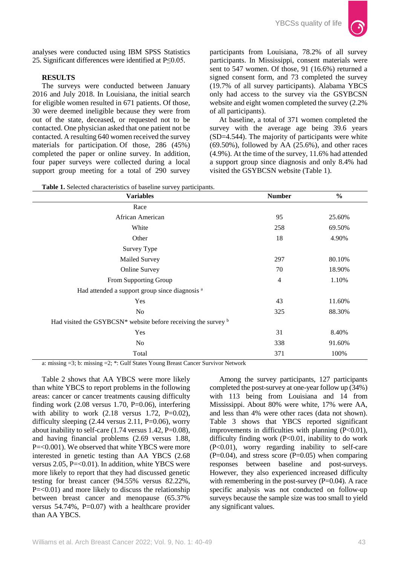

analyses were conducted using IBM SPSS Statistics 25. Significant differences were identified at P≤0.05.

# **RESULTS**

The surveys were conducted between January 2016 and July 2018. In Louisiana, the initial search for eligible women resulted in 671 patients. Of those, 30 were deemed ineligible because they were from out of the state, deceased, or requested not to be contacted. One physician asked that one patient not be contacted. A resulting 640 women received the survey materials for participation. Of those, 286 (45%) completed the paper or online survey. In addition, four paper surveys were collected during a local support group meeting for a total of 290 survey

participants from Louisiana, 78.2% of all survey participants. In Mississippi, consent materials were sent to 547 women. Of those, 91 (16.6%) returned a signed consent form, and 73 completed the survey (19.7% of all survey participants). Alabama YBCS only had access to the survey via the GSYBCSN website and eight women completed the survey (2.2% of all participants).

At baseline, a total of 371 women completed the survey with the average age being 39.6 years (SD=4.544). The majority of participants were white  $(69.50\%)$ , followed by AA  $(25.6\%)$ , and other races (4.9%). At the time of the survey, 11.6% had attended a support group since diagnosis and only 8.4% had visited the GSYBCSN website (Table 1).

| <b>Variables</b>                                                           | <b>Number</b>  | $\frac{0}{0}$ |
|----------------------------------------------------------------------------|----------------|---------------|
| Race                                                                       |                |               |
| African American                                                           | 95             | 25.60%        |
| White                                                                      | 258            | 69.50%        |
| Other                                                                      | 18             | 4.90%         |
| Survey Type                                                                |                |               |
| Mailed Survey                                                              | 297            | 80.10%        |
| <b>Online Survey</b>                                                       | 70             | 18.90%        |
| From Supporting Group                                                      | $\overline{4}$ | 1.10%         |
| Had attended a support group since diagnosis <sup>a</sup>                  |                |               |
| Yes                                                                        | 43             | 11.60%        |
| No                                                                         | 325            | 88.30%        |
| Had visited the GSYBCSN* website before receiving the survey $\frac{b}{c}$ |                |               |
| Yes                                                                        | 31             | 8.40%         |
| N <sub>o</sub>                                                             | 338            | 91.60%        |
| Total                                                                      | 371            | 100%          |

**Table 1.** Selected characteristics of baseline survey participants.

a: missing =3; b: missing =2; \*: Gulf States Young Breast Cancer Survivor Network

Table 2 shows that AA YBCS were more likely than white YBCS to report problems in the following areas: cancer or cancer treatments causing difficulty finding work  $(2.08 \text{ versus } 1.70, \text{ P=0.06})$ , interfering with ability to work  $(2.18$  versus 1.72, P=0.02), difficulty sleeping  $(2.44 \text{ versus } 2.11, \text{ P=0.06})$ , worry about inability to self-care  $(1.74 \text{ versus } 1.42, \text{P=0.08}),$ and having financial problems (2.69 versus 1.88, P=<0.001). We observed that white YBCS were more interested in genetic testing than AA YBCS (2.68 versus  $2.05$ , P=<0.01). In addition, white YBCS were more likely to report that they had discussed genetic testing for breast cancer (94.55% versus 82.22%,  $P = < 0.01$ ) and more likely to discuss the relationship between breast cancer and menopause (65.37% versus  $54.74\%$ , P=0.07) with a healthcare provider than AA YBCS.

Among the survey participants, 127 participants completed the post-survey at one-year follow up (34%) with 113 being from Louisiana and 14 from Mississippi. About 80% were white, 17% were AA, and less than 4% were other races (data not shown). Table 3 shows that YBCS reported significant improvements in difficulties with planning (P<0.01), difficulty finding work (P<0.01, inability to do work (P<0.01), worry regarding inability to self-care  $(P=0.04)$ , and stress score  $(P=0.05)$  when comparing responses between baseline and post-surveys. However, they also experienced increased difficulty with remembering in the post-survey  $(P=0.04)$ . A race specific analysis was not conducted on follow-up surveys because the sample size was too small to yield any significant values.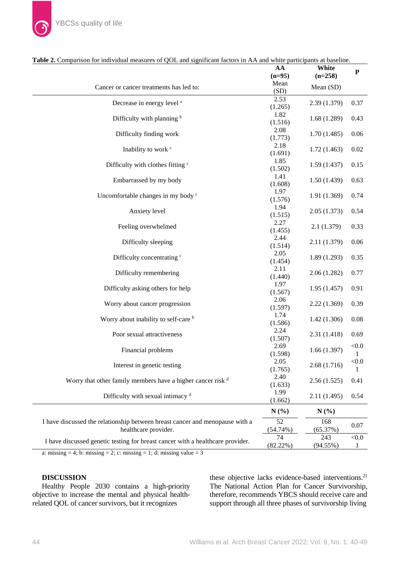|                                                                                                      | AA              | White           | ${\bf P}$  |
|------------------------------------------------------------------------------------------------------|-----------------|-----------------|------------|
|                                                                                                      | $(n=95)$        | $(n=258)$       |            |
| Cancer or cancer treatments has led to:                                                              | Mean<br>(SD)    | Mean (SD)       |            |
| Decrease in energy level <sup>a</sup>                                                                | 2.53<br>(1.265) | 2.39 (1.379)    | 0.37       |
| Difficulty with planning b                                                                           | 1.82<br>(1.516) | 1.68(1.289)     | 0.43       |
| Difficulty finding work                                                                              | 2.08<br>(1.773) | 1.70(1.485)     | 0.06       |
| Inability to work <sup>c</sup>                                                                       | 2.18<br>(1.691) | 1.72(1.463)     | 0.02       |
| Difficulty with clothes fitting c                                                                    | 1.85<br>(1.502) | 1.59(1.437)     | 0.15       |
| Embarrassed by my body                                                                               | 1.41<br>(1.608) | 1.50(1.439)     | 0.63       |
| Uncomfortable changes in my body c                                                                   | 1.97<br>(1.576) | 1.91(1.369)     | 0.74       |
| Anxiety level                                                                                        | 1.94<br>(1.515) | 2.05(1.373)     | 0.54       |
| Feeling overwhelmed                                                                                  | 2.27<br>(1.455) | 2.1(1.379)      | 0.33       |
| Difficulty sleeping                                                                                  | 2.44<br>(1.514) | 2.11 (1.379)    | 0.06       |
| Difficulty concentrating c                                                                           | 2.05<br>(1.454) | 1.89(1.293)     | 0.35       |
| Difficulty remembering                                                                               | 2.11<br>(1.440) | 2.06(1.282)     | 0.77       |
| Difficulty asking others for help                                                                    | 1.97<br>(1.567) | 1.95(1.457)     | 0.91       |
| Worry about cancer progression                                                                       | 2.06<br>(1.597) | 2.22(1.369)     | 0.39       |
| Worry about inability to self-care b                                                                 | 1.74<br>(1.586) | 1.42(1.306)     | 0.08       |
| Poor sexual attractiveness                                                                           | 2.24<br>(1.507) | 2.31(1.418)     | 0.69       |
| Financial problems                                                                                   | 2.69<br>(1.598) | 1.66(1.397)     | < 0.0<br>1 |
| Interest in genetic testing                                                                          | 2.05<br>(1.765) | 2.68(1.716)     | < 0.0<br>1 |
| Worry that other family members have a higher cancer risk d                                          | 2.40<br>(1.633) | 2.56(1.525)     | 0.41       |
| Difficulty with sexual intimacy <sup>d</sup>                                                         | 1.99<br>(1.662) | 2.11(1.495)     | 0.54       |
|                                                                                                      | N(%)            | $N(\%)$         |            |
| I have discussed the relationship between breast cancer and menopause with a<br>healthcare provider. | 52<br>(54.74%)  | 168<br>(65.37%) | 0.07       |
| I have discussed genetic testing for breast cancer with a healthcare provider.                       | 74              | 243             | < 0.0      |
|                                                                                                      | (82.22%)        | $(94.55\%)$     | 1          |

**Table 2.** Comparison for individual measures of QOL and significant factors in AA and white participants at baseline.

a: missing = 4; b: missing = 2; c: missing = 1; d: missing value = 3

# **DISCUSSION**

Healthy People 2030 contains a high-priority objective to increase the mental and physical healthrelated QOL of cancer survivors, but it recognizes

these objective lacks evidence-based interventions.<sup>21</sup> The National Action Plan for Cancer Survivorship, therefore, recommends YBCS should receive care and support through all three phases of survivorship living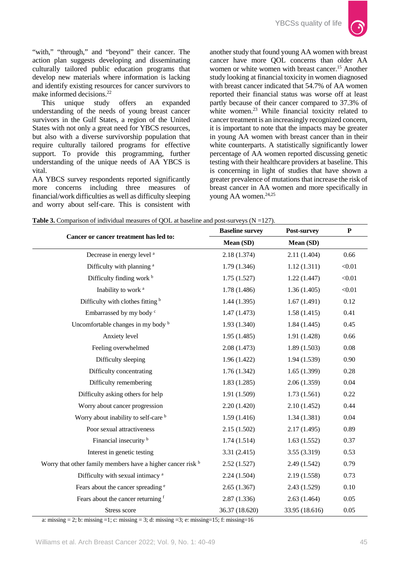

"with," "through," and "beyond" their cancer. The action plan suggests developing and disseminating culturally tailored public education programs that develop new materials where information is lacking and identify existing resources for cancer survivors to make informed decisions.<sup>22</sup>

This unique study offers an expanded understanding of the needs of young breast cancer survivors in the Gulf States, a region of the United States with not only a great need for YBCS resources, but also with a diverse survivorship population that require culturally tailored programs for effective support. To provide this programming, further understanding of the unique needs of AA YBCS is vital.

AA YBCS survey respondents reported significantly more concerns including three measures of financial/work difficulties as well as difficulty sleeping and worry about self-care. This is consistent with another study that found young AA women with breast cancer have more QOL concerns than older AA women or white women with breast cancer.<sup>15</sup> Another study looking at financial toxicity in women diagnosed with breast cancer indicated that 54.7% of AA women reported their financial status was worse off at least partly because of their cancer compared to 37.3% of white women.<sup>23</sup> While financial toxicity related to cancer treatment is an increasingly recognized concern, it is important to note that the impacts may be greater in young AA women with breast cancer than in their white counterparts. A statistically significantly lower percentage of AA women reported discussing genetic testing with their healthcare providers at baseline. This is concerning in light of studies that have shown a greater prevalence of mutations that increase the risk of breast cancer in AA women and more specifically in young AA women.<sup>24,25</sup>

|                                                             | <b>Baseline survey</b> | Post-survey    | ${\bf P}$ |  |
|-------------------------------------------------------------|------------------------|----------------|-----------|--|
| Cancer or cancer treatment has led to:                      | Mean (SD)              | Mean (SD)      |           |  |
| Decrease in energy level <sup>a</sup>                       | 2.18(1.374)            | 2.11(1.404)    | 0.66      |  |
| Difficulty with planning <sup>a</sup>                       | 1.79(1.346)            | 1.12(1.311)    | < 0.01    |  |
| Difficulty finding work b                                   | 1.75(1.527)            | 1.22(1.447)    | < 0.01    |  |
| Inability to work <sup>a</sup>                              | 1.78(1.486)            | 1.36(1.405)    | < 0.01    |  |
| Difficulty with clothes fitting b                           | 1.44(1.395)            | 1.67(1.491)    | 0.12      |  |
| Embarrassed by my body c                                    | 1.47(1.473)            | 1.58(1.415)    | 0.41      |  |
| Uncomfortable changes in my body b                          | 1.93(1.340)            | 1.84(1.445)    | 0.45      |  |
| Anxiety level                                               | 1.95(1.485)            | 1.91(1.428)    | 0.66      |  |
| Feeling overwhelmed                                         | 2.08(1.473)            | 1.89(1.503)    | 0.08      |  |
| Difficulty sleeping                                         | 1.96(1.422)            | 1.94(1.539)    | 0.90      |  |
| Difficulty concentrating                                    | 1.76(1.342)            | 1.65(1.399)    | 0.28      |  |
| Difficulty remembering                                      | 1.83(1.285)            | 2.06(1.359)    | 0.04      |  |
| Difficulty asking others for help                           | 1.91(1.509)            | 1.73(1.561)    | 0.22      |  |
| Worry about cancer progression                              | 2.20(1.420)            | 2.10(1.452)    | 0.44      |  |
| Worry about inability to self-care b                        | 1.59(1.416)            | 1.34(1.381)    | 0.04      |  |
| Poor sexual attractiveness                                  | 2.15(1.502)            | 2.17(1.495)    | 0.89      |  |
| Financial insecurity <sup>b</sup>                           | 1.74(1.514)            | 1.63(1.552)    | 0.37      |  |
| Interest in genetic testing                                 | 3.31(2.415)            | 3.55 (3.319)   | 0.53      |  |
| Worry that other family members have a higher cancer risk b | 2.52(1.527)            | 2.49(1.542)    | 0.79      |  |
| Difficulty with sexual intimacy <sup>a</sup>                | 2.24(1.504)            | 2.19(1.558)    | 0.73      |  |
| Fears about the cancer spreading <sup>e</sup>               | 2.65(1.367)            | 2.43(1.529)    | $0.10\,$  |  |
| Fears about the cancer returning f                          | 2.87(1.336)            | 2.63(1.464)    | 0.05      |  |
| Stress score                                                | 36.37 (18.620)         | 33.95 (18.616) | 0.05      |  |

**Table 3.** Comparison of individual measures of OOL at baseline and post-surveys  $(N = 127)$ .

a: missing  $= 2$ ; b: missing  $= 1$ ; c: missing  $= 3$ ; d: missing  $= 3$ ; e: missing=15; f: missing=16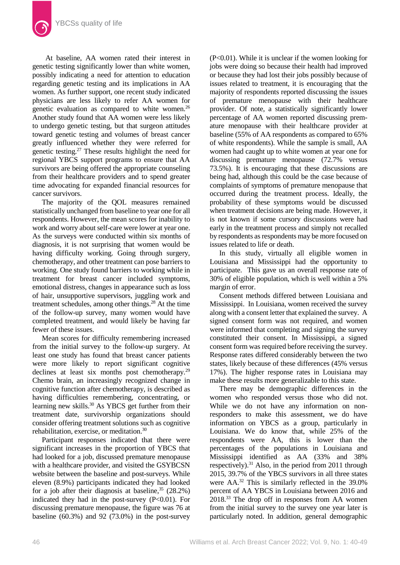At baseline, AA women rated their interest in genetic testing significantly lower than white women, possibly indicating a need for attention to education regarding genetic testing and its implications in AA women. As further support, one recent study indicated physicians are less likely to refer AA women for genetic evaluation as compared to white women.<sup>26</sup> Another study found that AA women were less likely to undergo genetic testing, but that surgeon attitudes toward genetic testing and volumes of breast cancer greatly influenced whether they were referred for genetic testing.27 These results highlight the need for regional YBCS support programs to ensure that AA survivors are being offered the appropriate counseling from their healthcare providers and to spend greater time advocating for expanded financial resources for cancer survivors.

The majority of the QOL measures remained statistically unchanged from baseline to year one for all respondents. However, the mean scores for inability to work and worry about self-care were lower at year one. As the surveys were conducted within six months of diagnosis, it is not surprising that women would be having difficulty working. Going through surgery, chemotherapy, and other treatment can pose barriers to working. One study found barriers to working while in treatment for breast cancer included symptoms, emotional distress, changes in appearance such as loss of hair, unsupportive supervisors, juggling work and treatment schedules, among other things.<sup>28</sup> At the time of the follow-up survey, many women would have completed treatment, and would likely be having far fewer of these issues.

Mean scores for difficulty remembering increased from the initial survey to the follow-up surgery. At least one study has found that breast cancer patients were more likely to report significant cognitive declines at least six months post chemotherapy.<sup>29</sup> Chemo brain, an increasingly recognized change in cognitive function after chemotherapy, is described as having difficulties remembering, concentrating, or learning new skills.<sup>30</sup> As YBCS get further from their treatment date, survivorship organizations should consider offering treatment solutions such as cognitive rehabilitation, exercise, or meditation.30

Participant responses indicated that there were significant increases in the proportion of YBCS that had looked for a job, discussed premature menopause with a healthcare provider, and visited the GSYBCSN website between the baseline and post-surveys. While eleven (8.9%) participants indicated they had looked for a job after their diagnosis at baseline,  $35$  (28.2%) indicated they had in the post-survey  $(P<0.01)$ . For discussing premature menopause, the figure was 76 at baseline (60.3%) and 92 (73.0%) in the post-survey

(P<0.01). While it is unclear if the women looking for jobs were doing so because their health had improved or because they had lost their jobs possibly because of issues related to treatment, it is encouraging that the majority of respondents reported discussing the issues of premature menopause with their healthcare provider. Of note, a statistically significantly lower percentage of AA women reported discussing premature menopause with their healthcare provider at baseline (55% of AA respondents as compared to 65% of white respondents). While the sample is small, AA women had caught up to white women at year one for discussing premature menopause (72.7% versus 73.5%). It is encouraging that these discussions are being had, although this could be the case because of complaints of symptoms of premature menopause that occurred during the treatment process. Ideally, the probability of these symptoms would be discussed when treatment decisions are being made. However, it is not known if some cursory discussions were had early in the treatment process and simply not recalled by respondents as respondents may be more focused on issues related to life or death.

In this study, virtually all eligible women in Louisiana and Mississippi had the opportunity to participate. This gave us an overall response rate of 30% of eligible population, which is well within a 5% margin of error.

Consent methods differed between Louisiana and Mississippi. In Louisiana, women received the survey along with a consent letter that explained the survey. A signed consent form was not required, and women were informed that completing and signing the survey constituted their consent. In Mississippi, a signed consent form was required before receiving the survey. Response rates differed considerably between the two states, likely because of these differences (45% versus 17%). The higher response rates in Louisiana may make these results more generalizable to this state.

There may be demographic differences in the women who responded versus those who did not. While we do not have any information on nonresponders to make this assessment, we do have information on YBCS as a group, particularly in Louisiana. We do know that, while 25% of the respondents were AA, this is lower than the percentages of the populations in Louisiana and Mississippi identified as AA (33% and 38% respectively).<sup>31</sup> Also, in the period from 2011 through 2015, 39.7% of the YBCS survivors in all three states were AA.32 This is similarly reflected in the 39.0% percent of AA YBCS in Louisiana between 2016 and 2018.33 The drop off in responses from AA women from the initial survey to the survey one year later is particularly noted. In addition, general demographic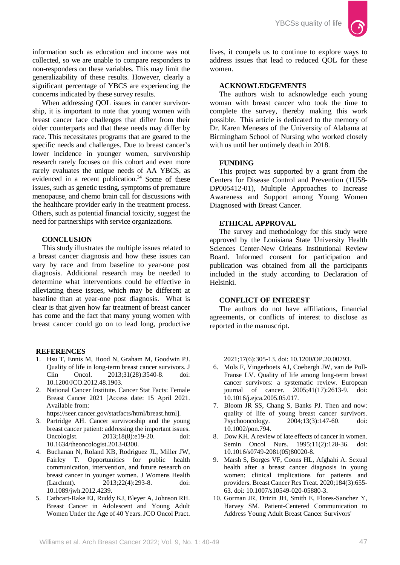

information such as education and income was not collected, so we are unable to compare responders to non-responders on these variables. This may limit the generalizability of these results. However, clearly a significant percentage of YBCS are experiencing the concerns indicated by these survey results.

When addressing QOL issues in cancer survivorship, it is important to note that young women with breast cancer face challenges that differ from their older counterparts and that these needs may differ by race. This necessitates programs that are geared to the specific needs and challenges. Due to breast cancer's lower incidence in younger women, survivorship research rarely focuses on this cohort and even more rarely evaluates the unique needs of AA YBCS, as evidenced in a recent publication. $34$  Some of these issues, such as genetic testing, symptoms of premature menopause, and chemo brain call for discussions with the healthcare provider early in the treatment process. Others, such as potential financial toxicity, suggest the need for partnerships with service organizations.

# **CONCLUSION**

This study illustrates the multiple issues related to a breast cancer diagnosis and how these issues can vary by race and from baseline to year-one post diagnosis. Additional research may be needed to determine what interventions could be effective in alleviating these issues, which may be different at baseline than at year-one post diagnosis. What is clear is that given how far treatment of breast cancer has come and the fact that many young women with breast cancer could go on to lead long, productive

### **REFERENCES**

- 1. Hsu T, Ennis M, Hood N, Graham M, Goodwin PJ. Quality of life in long-term breast cancer survivors. J Clin Oncol. 2013;31(28):3540-8. doi: [10.1200/JCO.2012.48.1903.](https://doi.org/10.1200/JCO.2012.48.1903)
- 2. National Cancer Institute. Cancer Stat Facts: Female Breast Cancer 2021 [Access date: 15 April 2021. Available from:
- [https://seer.cancer.gov/statfacts/html/breast.html\]](https://seer.cancer.gov/statfacts/html/breast.html).
- 3. Partridge AH. Cancer survivorship and the young breast cancer patient: addressing the important issues. Oncologist. 2013;18(8):e19-20. doi: [10.1634/theoncologist.2013-0300.](https://doi.org/10.1634/theoncologist.2013-0300)
- 4. Buchanan N, Roland KB, Rodriguez JL, Miller JW, Fairley T. Opportunities for public health communication, intervention, and future research on breast cancer in younger women. J Womens Health (Larchmt). 2013;22(4):293-8. doi: [10.1089/jwh.2012.4239.](https://doi.org/10.1089/jwh.2012.4239)
- 5. Cathcart-Rake EJ, Ruddy KJ, Bleyer A, Johnson RH. Breast Cancer in Adolescent and Young Adult Women Under the Age of 40 Years. JCO Oncol Pract.

lives, it compels us to continue to explore ways to address issues that lead to reduced QOL for these women.

# **ACKNOWLEDGEMENTS**

The authors wish to acknowledge each young woman with breast cancer who took the time to complete the survey, thereby making this work possible. This article is dedicated to the memory of Dr. Karen Meneses of the University of Alabama at Birmingham School of Nursing who worked closely with us until her untimely death in 2018.

### **FUNDING**

This project was supported by a grant from the Centers for Disease Control and Prevention (1U58- DP005412-01), Multiple Approaches to Increase Awareness and Support among Young Women Diagnosed with Breast Cancer.

### **ETHICAL APPROVAL**

The survey and methodology for this study were approved by the Louisiana State University Health Sciences Center-New Orleans Institutional Review Board. Informed consent for participation and publication was obtained from all the participants included in the study according to Declaration of Helsinki.

#### **CONFLICT OF INTEREST**

The authors do not have affiliations, financial agreements, or conflicts of interest to disclose as reported in the manuscript.

2021;17(6):305-13. doi: [10.1200/OP.20.00793.](https://doi.org/10.1200/OP.20.00793)

- 6. Mols F, Vingerhoets AJ, Coebergh JW, van de Poll-Franse LV. Quality of life among long-term breast cancer survivors: a systematic review. European journal of cancer. 2005;41(17):2613-9. doi: [10.1016/j.ejca.2005.05.017.](https://doi.org/10.1016/j.ejca.2005.05.017)
- 7. Bloom JR SS, Chang S, Banks PJ. Then and now: quality of life of young breast cancer survivors. Psychooncology. 2004;13(3):147-60. doi: [10.1002/pon.794.](https://doi.org/10.1002/pon.794)
- 8. Dow KH. A review of late effects of cancer in women. Semin Oncol Nurs. 1995;11(2):128-36. doi: [10.1016/s0749-2081\(05\)80020-8.](https://doi.org/10.1016/s0749-2081(05)80020-8)
- 9. Marsh S, Borges VF, Coons HL, Afghahi A. Sexual health after a breast cancer diagnosis in young women: clinical implications for patients and providers. Breast Cancer Res Treat. 2020;184(3):655- 63. doi[: 10.1007/s10549-020-05880-3.](https://doi.org/10.1007/s10549-020-05880-3.)
- 10. Gorman JR, Drizin JH, Smith E, Flores-Sanchez Y, Harvey SM. Patient-Centered Communication to Address Young Adult Breast Cancer Survivors'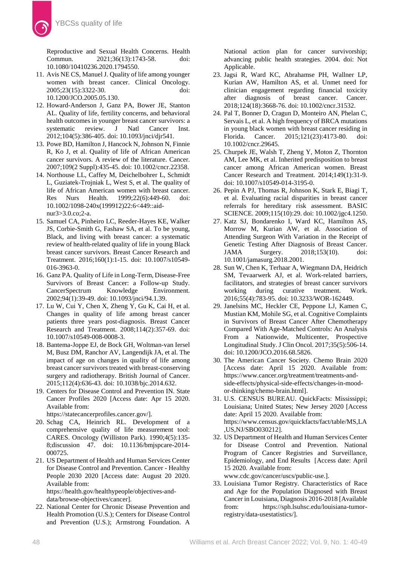Reproductive and Sexual Health Concerns. Health Commun. 2021;36(13):1743-58. doi: [10.1080/10410236.2020.1794550.](https://doi.org/10.1080/10410236.2020.1794550.)

- 11. Avis NE CS, Manuel J. Quality of life among younger women with breast cancer. Clinical Oncology. 2005;23(15):3322-30. doi: 10.1200/JCO.2005.05.130.
- 12. Howard-Anderson J, Ganz PA, Bower JE, Stanton AL. Quality of life, fertility concerns, and behavioral health outcomes in younger breast cancer survivors: a<br>systematic review. J Natl Cancer Inst. systematic review. J Natl Cancer Inst. 2012;104(5):386-405. doi: [10.1093/jnci/djr541.](https://doi.org/10.1093/jnci/djr541.)
- 13. Powe BD, Hamilton J, Hancock N, Johnson N, Finnie R, Ko J, et al. Quality of life of African American cancer survivors. A review of the literature. Cancer. 2007;109(2 Suppl):435-45. doi: [10.1002/cncr.22358.](https://doi.org/10.1002/cncr.22358.)
- 14. Northouse LL, Caffey M, Deichelbohrer L, Schmidt L, Guziatek-Trojniak L, West S, et al. The quality of life of African American women with breast cancer. Res Nurs Health. 1999;22(6):449-60. doi: [10.1002/1098-240x\(199912\)22:6<449::aid](https://doi.org/10.1002/1098-240x(199912)22:6%3c449::aid-nur3%3e3.0.co;2-a.)[nur3>3.0.co;2-a.](https://doi.org/10.1002/1098-240x(199912)22:6%3c449::aid-nur3%3e3.0.co;2-a.)
- 15. Samuel CA, Pinheiro LC, Reeder-Hayes KE, Walker JS, Corbie-Smith G, Fashaw SA, et al. To be young, Black, and living with breast cancer: a systematic review of health-related quality of life in young Black breast cancer survivors. Breast Cancer Research and Treatment. 2016;160(1):1-15. doi: [10.1007/s10549-](https://doi.org/10.1007/s10549-016-3963-0.) [016-3963-0.](https://doi.org/10.1007/s10549-016-3963-0.)
- 16. Ganz PA. Quality of Life in Long-Term, Disease-Free Survivors of Breast Cancer: a Follow-up Study. CancerSpectrum Knowledge Environment. 2002;94(1):39-49. doi: [10.1093/jnci/94.1.39.](https://doi.org/10.1093/jnci/94.1.39.)
- 17. Lu W, Cui Y, Chen X, Zheng Y, Gu K, Cai H, et al. Changes in quality of life among breast cancer patients three years post-diagnosis. Breast Cancer Research and Treatment. 2008;114(2):357-69. doi: [10.1007/s10549-008-0008-3.](https://doi.org/10.1007/s10549-008-0008-3)
- 18. Bantema-Joppe EJ, de Bock GH, Woltman-van Iersel M, Busz DM, Ranchor AV, Langendijk JA, et al. The impact of age on changes in quality of life among breast cancer survivors treated with breast-conserving surgery and radiotherapy. British Journal of Cancer. 2015;112(4):636-43. doi: [10.1038/bjc.2014.632.](https://doi.org/10.1038/bjc.2014.632)
- 19. Centers for Disease Control and Prevention IN. State Cancer Profiles 2020 [Access date: Apr 15 2020. Available from:

[https://statecancerprofiles.cancer.gov/\]](https://statecancerprofiles.cancer.gov/).

- 20. Schag CA, Heinrich RL. Development of a comprehensive quality of life measurement tool: CARES. Oncology (Williston Park). 1990;4(5):135- 8;discussion 47. doi: [10.1136/bmjspcare-2014-](https://doi.org/10.1136/bmjspcare-2014-000725) [000725.](https://doi.org/10.1136/bmjspcare-2014-000725)
- 21. US Department of Health and Human Services Center for Disease Control and Prevention. Cancer - Healthy People 2030 2020 [Access date: August 20 2020. Available from: [https://health.gov/healthypeople/objectives-and-](https://health.gov/healthypeople/objectives-and-data/browse-objectives/cancer)

[data/browse-objectives/cancer\]](https://health.gov/healthypeople/objectives-and-data/browse-objectives/cancer).

22. National Center for Chronic Disease Prevention and Health Promotion (U.S.); Centers for Disease Control and Prevention (U.S.); Armstrong Foundation. A

National action plan for cancer survivorship; advancing public health strategies. 2004. doi: Not Applicable.

- 23. Jagsi R, Ward KC, Abrahamse PH, Wallner LP, Kurian AW, Hamilton AS, et al. Unmet need for clinician engagement regarding financial toxicity after diagnosis of breast cancer. Cancer. 2018;124(18):3668-76. doi: [10.1002/cncr.31532.](https://doi.org/10.1002/cncr.31532)
- 24. Pal T, Bonner D, Cragun D, Monteiro AN, Phelan C, Servais L, et al. A high frequency of BRCA mutations in young black women with breast cancer residing in Florida. Cancer. 2015;121(23):4173-80. doi: [10.1002/cncr.29645.](https://doi.org/10.1002/cncr.29645)
- 25. Churpek JE, Walsh T, Zheng Y, Moton Z, Thornton AM, Lee MK, et al. Inherited predisposition to breast cancer among African American women. Breast Cancer Research and Treatment. 2014;149(1):31-9. doi[: 10.1007/s10549-014-3195-0.](https://doi.org/10.1007/s10549-014-3195-0)
- 26. Pepin A PJ, Thomas R, Johnson K, Stark E, Biagi T, et al. Evaluating racial disparities in breast cancer referrals for hereditary risk assessment. BASIC SCIENCE. 2009;115(10):29. doi: [10.1002/jgc4.1250.](https://doi.org/10.1002/jgc4.1250)
- 27. Katz SJ, Bondarenko I, Ward KC, Hamilton AS, Morrow M, Kurian AW, et al. Association of Attending Surgeon With Variation in the Receipt of Genetic Testing After Diagnosis of Breast Cancer. JAMA Surgery. 2018;153(10). doi: [10.1001/jamasurg.2018.2001.](https://doi.org/10.1001/jamasurg.2018.2001)
- 28. Sun W, Chen K, Terhaar A, Wiegmann DA, Heidrich SM, Tevaarwerk AJ, et al. Work-related barriers, facilitators, and strategies of breast cancer survivors working during curative treatment. Work. 2016;55(4):783-95. doi: [10.3233/WOR-162449.](https://doi.org/10.3233/WOR-162449)
- 29. Janelsins MC, Heckler CE, Peppone LJ, Kamen C, Mustian KM, Mohile SG, et al. Cognitive Complaints in Survivors of Breast Cancer After Chemotherapy Compared With Age-Matched Controls: An Analysis From a Nationwide, Multicenter, Prospective Longitudinal Study. J Clin Oncol. 2017;35(5):506-14. doi[: 10.1200/JCO.2016.68.5826.](https://doi.org/10.1200/JCO.2016.68.5826)
- 30. The American Cancer Society. Chemo Brain 2020 [Access date: April 15 2020. Available from: [https://www.cancer.org/treatment/treatments-and](https://www.cancer.org/treatment/treatments-and-side-effects/physical-side-effects/changes-in-mood-or-thinking/chemo-brain.html)[side-effects/physical-side-effects/changes-in-mood](https://www.cancer.org/treatment/treatments-and-side-effects/physical-side-effects/changes-in-mood-or-thinking/chemo-brain.html)[or-thinking/chemo-brain.html\]](https://www.cancer.org/treatment/treatments-and-side-effects/physical-side-effects/changes-in-mood-or-thinking/chemo-brain.html).
- 31. U.S. CENSUS BUREAU. QuickFacts: Mississippi; Louisiana; United States; New Jersey 2020 [Access date: April 15 2020. Available from: [https://www.census.gov/quickfacts/fact/table/MS,LA](https://www.census.gov/quickfacts/fact/table/MS,LA,US,NJ/SBO030212) [,US,NJ/SBO030212\]](https://www.census.gov/quickfacts/fact/table/MS,LA,US,NJ/SBO030212).
- 32. US Department of Health and Human Services Center for Disease Control and Prevention. National Program of Cancer Registries and Surveillance, Epidemiology, and End Results [Access date: April 15 2020. Available from: www.cdc.gov/cancer/uscs/public-use.].
- 33. Louisiana Tumor Registry. Characteristics of Race and Age for the Population Diagnosed with Breast Cancer in Louisiana, Diagnosis 2016-2018 [Available from: [https://sph.lsuhsc.edu/louisiana-tumor](https://sph.lsuhsc.edu/louisiana-tumor-registry/data-usestatistics/)[registry/data-usestatistics/\]](https://sph.lsuhsc.edu/louisiana-tumor-registry/data-usestatistics/).